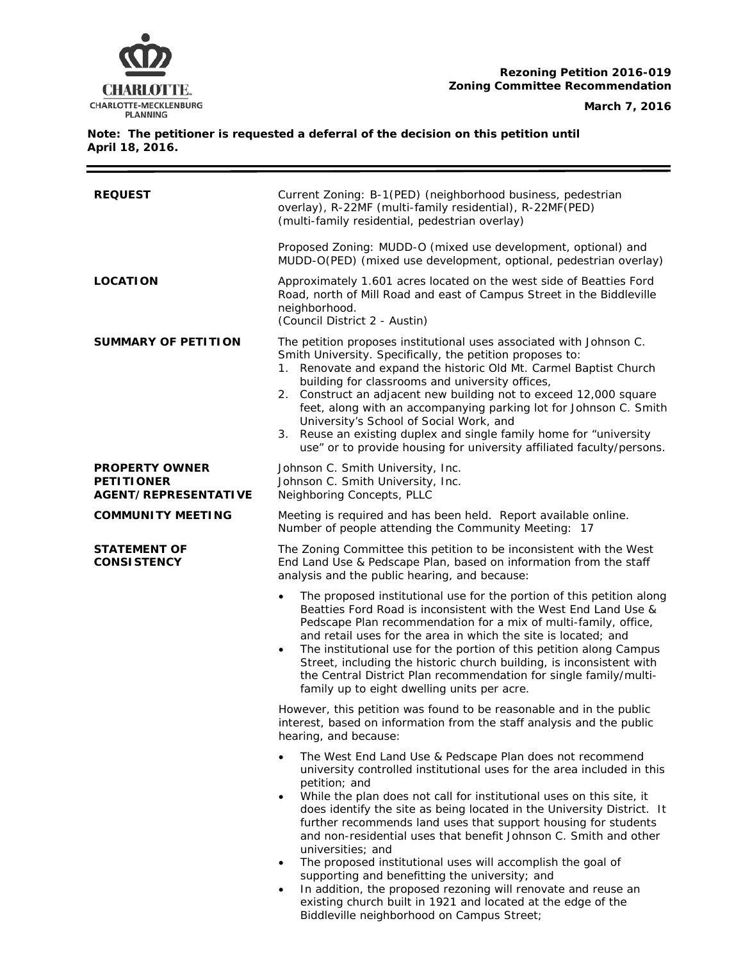

#### **Note: The petitioner is requested a deferral of the decision on this petition until April 18, 2016.**

| <b>REQUEST</b>                                                     | Current Zoning: B-1(PED) (neighborhood business, pedestrian<br>overlay), R-22MF (multi-family residential), R-22MF (PED)<br>(multi-family residential, pedestrian overlay)                                                                                                                                                                                                                                                                                                                                                                                                                                                                                                                                                                                                         |
|--------------------------------------------------------------------|------------------------------------------------------------------------------------------------------------------------------------------------------------------------------------------------------------------------------------------------------------------------------------------------------------------------------------------------------------------------------------------------------------------------------------------------------------------------------------------------------------------------------------------------------------------------------------------------------------------------------------------------------------------------------------------------------------------------------------------------------------------------------------|
|                                                                    | Proposed Zoning: MUDD-O (mixed use development, optional) and<br>MUDD-O(PED) (mixed use development, optional, pedestrian overlay)                                                                                                                                                                                                                                                                                                                                                                                                                                                                                                                                                                                                                                                 |
| <b>LOCATION</b>                                                    | Approximately 1.601 acres located on the west side of Beatties Ford<br>Road, north of Mill Road and east of Campus Street in the Biddleville<br>neighborhood.<br>(Council District 2 - Austin)                                                                                                                                                                                                                                                                                                                                                                                                                                                                                                                                                                                     |
| <b>SUMMARY OF PETITION</b>                                         | The petition proposes institutional uses associated with Johnson C.<br>Smith University. Specifically, the petition proposes to:<br>1. Renovate and expand the historic Old Mt. Carmel Baptist Church<br>building for classrooms and university offices,<br>2. Construct an adjacent new building not to exceed 12,000 square<br>feet, along with an accompanying parking lot for Johnson C. Smith<br>University's School of Social Work, and<br>Reuse an existing duplex and single family home for "university<br>3.<br>use" or to provide housing for university affiliated faculty/persons.                                                                                                                                                                                    |
| <b>PROPERTY OWNER</b><br><b>PETITIONER</b><br>AGENT/REPRESENTATIVE | Johnson C. Smith University, Inc.<br>Johnson C. Smith University, Inc.<br>Neighboring Concepts, PLLC                                                                                                                                                                                                                                                                                                                                                                                                                                                                                                                                                                                                                                                                               |
| <b>COMMUNITY MEETING</b>                                           | Meeting is required and has been held. Report available online.<br>Number of people attending the Community Meeting: 17                                                                                                                                                                                                                                                                                                                                                                                                                                                                                                                                                                                                                                                            |
| <b>STATEMENT OF</b><br><b>CONSISTENCY</b>                          | The Zoning Committee this petition to be inconsistent with the West<br>End Land Use & Pedscape Plan, based on information from the staff<br>analysis and the public hearing, and because:                                                                                                                                                                                                                                                                                                                                                                                                                                                                                                                                                                                          |
|                                                                    | The proposed institutional use for the portion of this petition along<br>$\bullet$<br>Beatties Ford Road is inconsistent with the West End Land Use &<br>Pedscape Plan recommendation for a mix of multi-family, office,<br>and retail uses for the area in which the site is located; and<br>The institutional use for the portion of this petition along Campus<br>$\bullet$<br>Street, including the historic church building, is inconsistent with<br>the Central District Plan recommendation for single family/multi-<br>family up to eight dwelling units per acre.                                                                                                                                                                                                         |
|                                                                    | However, this petition was found to be reasonable and in the public<br>interest, based on information from the staff analysis and the public<br>hearing, and because:                                                                                                                                                                                                                                                                                                                                                                                                                                                                                                                                                                                                              |
|                                                                    | The West End Land Use & Pedscape Plan does not recommend<br>university controlled institutional uses for the area included in this<br>petition; and<br>While the plan does not call for institutional uses on this site, it<br>٠<br>does identify the site as being located in the University District. It<br>further recommends land uses that support housing for students<br>and non-residential uses that benefit Johnson C. Smith and other<br>universities; and<br>The proposed institutional uses will accomplish the goal of<br>$\bullet$<br>supporting and benefitting the university; and<br>In addition, the proposed rezoning will renovate and reuse an<br>existing church built in 1921 and located at the edge of the<br>Biddleville neighborhood on Campus Street; |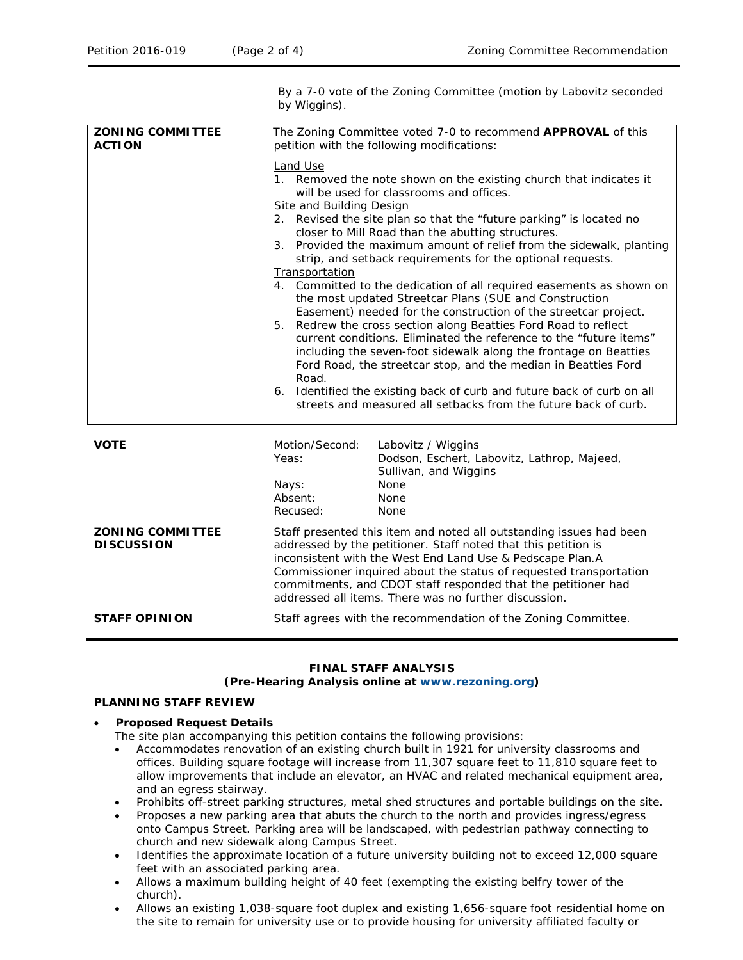**ACTION**

By a 7-0 vote of the Zoning Committee (motion by Labovitz seconded by Wiggins). **ZONING COMMITTEE**  The Zoning Committee voted 7-0 to recommend **APPROVAL** of this petition with the following modifications: Land Use 1. Removed the note shown on the existing church that indicates it will be used for classrooms and offices. Site and Building Design 2. Revised the site plan so that the "future parking" is located no closer to Mill Road than the abutting structures. 3. Provided the maximum amount of relief from the sidewalk, planting strip, and setback requirements for the optional requests. **Transportation** 

- 4. Committed to the dedication of all required easements as shown on the most updated Streetcar Plans (SUE and Construction Easement) needed for the construction of the streetcar project.
- 5. Redrew the cross section along Beatties Ford Road to reflect current conditions. Eliminated the reference to the "future items" including the seven-foot sidewalk along the frontage on Beatties Ford Road, the streetcar stop, and the median in Beatties Ford Road.
- 6. Identified the existing back of curb and future back of curb on all streets and measured all setbacks from the future back of curb.

**VOTE** Motion/Second: Labovitz / Wiggins Yeas: Dodson, Eschert, Labovitz, Lathrop, Majeed, Sullivan, and Wiggins Nays: None Absent: None Recused: None **ZONING COMMITTEE DISCUSSION** Staff presented this item and noted all outstanding issues had been addressed by the petitioner. Staff noted that this petition is inconsistent with the *West End Land Use & Pedscape Plan*.A Commissioner inquired about the status of requested transportation commitments, and CDOT staff responded that the petitioner had addressed all items. There was no further discussion. **STAFF OPINION** Staff agrees with the recommendation of the Zoning Committee.

# **FINAL STAFF ANALYSIS**

# **(Pre-Hearing Analysis online at [www.rezoning.org\)](http://www.rezoning.org/)**

### **PLANNING STAFF REVIEW**

#### • **Proposed Request Details**

- The site plan accompanying this petition contains the following provisions:
- Accommodates renovation of an existing church built in 1921 for university classrooms and offices. Building square footage will increase from 11,307 square feet to 11,810 square feet to allow improvements that include an elevator, an HVAC and related mechanical equipment area, and an egress stairway.
- Prohibits off-street parking structures, metal shed structures and portable buildings on the site.
- Proposes a new parking area that abuts the church to the north and provides ingress/egress onto Campus Street. Parking area will be landscaped, with pedestrian pathway connecting to church and new sidewalk along Campus Street.
- Identifies the approximate location of a future university building not to exceed 12,000 square feet with an associated parking area.
- Allows a maximum building height of 40 feet (exempting the existing belfry tower of the church).
- Allows an existing 1,038-square foot duplex and existing 1,656-square foot residential home on the site to remain for university use or to provide housing for university affiliated faculty or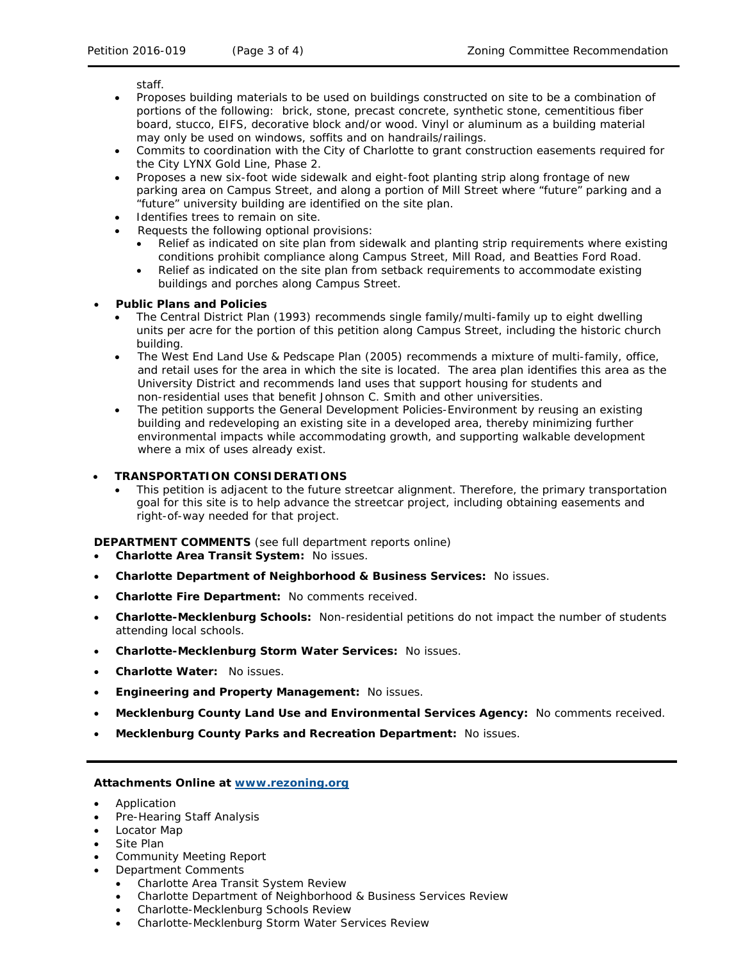staff.

- Proposes building materials to be used on buildings constructed on site to be a combination of portions of the following: brick, stone, precast concrete, synthetic stone, cementitious fiber board, stucco, EIFS, decorative block and/or wood. Vinyl or aluminum as a building material may only be used on windows, soffits and on handrails/railings.
- Commits to coordination with the City of Charlotte to grant construction easements required for the City LYNX Gold Line, Phase 2.
- Proposes a new six-foot wide sidewalk and eight-foot planting strip along frontage of new parking area on Campus Street, and along a portion of Mill Street where "future" parking and a "future" university building are identified on the site plan.
- Identifies trees to remain on site.
- Requests the following optional provisions:
	- Relief as indicated on site plan from sidewalk and planting strip requirements where existing conditions prohibit compliance along Campus Street, Mill Road, and Beatties Ford Road.
	- Relief as indicated on the site plan from setback requirements to accommodate existing buildings and porches along Campus Street.

#### • **Public Plans and Policies**

- The *Central District Plan* (1993) recommends single family/multi-family up to eight dwelling units per acre for the portion of this petition along Campus Street, including the historic church building.
- The *West End Land Use & Pedscape Plan* (2005) recommends a mixture of multi-family, office, and retail uses for the area in which the site is located. The area plan identifies this area as the University District and recommends land uses that support housing for students and non-residential uses that benefit Johnson C. Smith and other universities.
- The petition supports the *General Development Policies-Environment* by reusing an existing building and redeveloping an existing site in a developed area, thereby minimizing further environmental impacts while accommodating growth, and supporting walkable development where a mix of uses already exist.

### • **TRANSPORTATION CONSIDERATIONS**

• This petition is adjacent to the future streetcar alignment. Therefore, the primary transportation goal for this site is to help advance the streetcar project, including obtaining easements and right-of-way needed for that project.

**DEPARTMENT COMMENTS** (see full department reports online)

- **Charlotte Area Transit System:** No issues.
- **Charlotte Department of Neighborhood & Business Services:** No issues.
- **Charlotte Fire Department:** No comments received.
- **Charlotte-Mecklenburg Schools:** Non-residential petitions do not impact the number of students attending local schools.
- **Charlotte-Mecklenburg Storm Water Services:** No issues.
- **Charlotte Water:** No issues.
- **Engineering and Property Management:** No issues.
- **Mecklenburg County Land Use and Environmental Services Agency:** No comments received.
- **Mecklenburg County Parks and Recreation Department:** No issues.

#### **Attachments Online at [www.rezoning.org](http://www.rezoning.org/)**

- Application
- Pre-Hearing Staff Analysis
- Locator Map
- Site Plan
- Community Meeting Report
- Department Comments
	- Charlotte Area Transit System Review
	- Charlotte Department of Neighborhood & Business Services Review
	- Charlotte-Mecklenburg Schools Review
	- Charlotte-Mecklenburg Storm Water Services Review